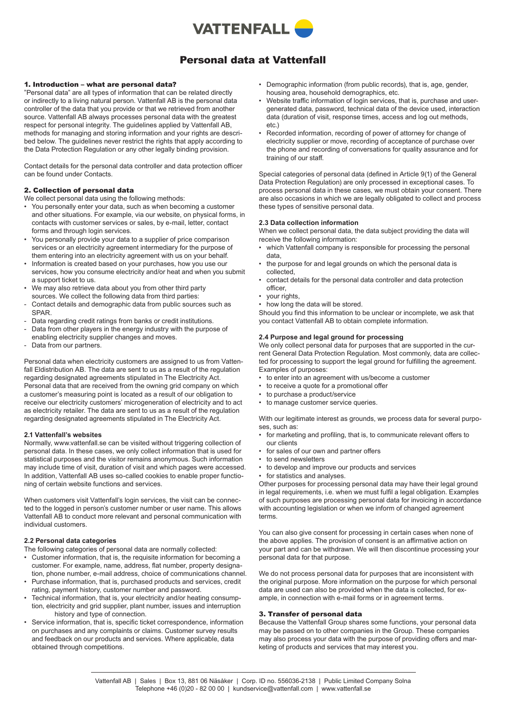

# Personal data at Vattenfall

# 1. Introduction – what are personal data?

"Personal data" are all types of information that can be related directly or indirectly to a living natural person. Vattenfall AB is the personal data controller of the data that you provide or that we retrieved from another source. Vattenfall AB always processes personal data with the greatest respect for personal integrity. The guidelines applied by Vattenfall AB, methods for managing and storing information and your rights are described below. The guidelines never restrict the rights that apply according to the Data Protection Regulation or any other legally binding provision.

Contact details for the personal data controller and data protection officer can be found under Contacts.

# 2. Collection of personal data

We collect personal data using the following methods:

- You personally enter your data, such as when becoming a customer and other situations. For example, via our website, on physical forms, in contacts with customer services or sales, by e-mail, letter, contact forms and through login services.
- You personally provide your data to a supplier of price comparison services or an electricity agreement intermediary for the purpose of them entering into an electricity agreement with us on your behalf.
- Information is created based on your purchases, how you use our services, how you consume electricity and/or heat and when you submit a support ticket to us.
- We may also retrieve data about you from other third party sources. We collect the following data from third parties:
- Contact details and demographic data from public sources such as SPAR.
- Data regarding credit ratings from banks or credit institutions.
- Data from other players in the energy industry with the purpose of enabling electricity supplier changes and moves.
- Data from our partners.

Personal data when electricity customers are assigned to us from Vattenfall Eldistribution AB. The data are sent to us as a result of the regulation regarding designated agreements stipulated in The Electricity Act. Personal data that are received from the owning grid company on which a customer's measuring point is located as a result of our obligation to receive our electricity customers' microgeneration of electricity and to act as electricity retailer. The data are sent to us as a result of the regulation regarding designated agreements stipulated in The Electricity Act.

# **2.1 Vattenfall's websites**

Normally, www.vattenfall.se can be visited without triggering collection of personal data. In these cases, we only collect information that is used for statistical purposes and the visitor remains anonymous. Such information may include time of visit, duration of visit and which pages were accessed. In addition, Vattenfall AB uses so-called cookies to enable proper functioning of certain website functions and services.

When customers visit Vattenfall's login services, the visit can be connected to the logged in person's customer number or user name. This allows Vattenfall AB to conduct more relevant and personal communication with individual customers.

# **2.2 Personal data categories**

The following categories of personal data are normally collected:

- Customer information, that is, the requisite information for becoming a customer. For example, name, address, flat number, property designation, phone number, e-mail address, choice of communications channel.
- Purchase information, that is, purchased products and services, credit rating, payment history, customer number and password.
- Technical information, that is, your electricity and/or heating consumption, electricity and grid supplier, plant number, issues and interruption history and type of connection.
- Service information, that is, specific ticket correspondence, information on purchases and any complaints or claims. Customer survey results and feedback on our products and services. Where applicable, data obtained through competitions.
- Demographic information (from public records), that is, age, gender, housing area, household demographics, etc.
- Website traffic information of login services, that is, purchase and usergenerated data, password, technical data of the device used, interaction data (duration of visit, response times, access and log out methods, etc.)
- Recorded information, recording of power of attorney for change of electricity supplier or move, recording of acceptance of purchase over the phone and recording of conversations for quality assurance and for training of our staff.

Special categories of personal data (defined in Article 9(1) of the General Data Protection Regulation) are only processed in exceptional cases. To process personal data in these cases, we must obtain your consent. There are also occasions in which we are legally obligated to collect and process these types of sensitive personal data.

# **2.3 Data collection information**

When we collect personal data, the data subject providing the data will receive the following information:

- which Vattenfall company is responsible for processing the personal data,
- the purpose for and legal grounds on which the personal data is collected,
- contact details for the personal data controller and data protection officer,
- vour rights.
- how long the data will be stored.

Should you find this information to be unclear or incomplete, we ask that you contact Vattenfall AB to obtain complete information.

# **2.4 Purpose and legal ground for processing**

We only collect personal data for purposes that are supported in the current General Data Protection Regulation. Most commonly, data are collected for processing to support the legal ground for fulfilling the agreement. Examples of purposes:

- to enter into an agreement with us/become a customer
- to receive a quote for a promotional offer
- to purchase a product/service
- to manage customer service queries.

With our legitimate interest as grounds, we process data for several purposes, such as:

- for marketing and profiling, that is, to communicate relevant offers to our clients
- for sales of our own and partner offers
- to send newsletters
- to develop and improve our products and services
- for statistics and analyses.

Other purposes for processing personal data may have their legal ground in legal requirements, i.e. when we must fulfil a legal obligation. Examples of such purposes are processing personal data for invoicing in accordance with accounting legislation or when we inform of changed agreement terms.

You can also give consent for processing in certain cases when none of the above applies. The provision of consent is an affirmative action on your part and can be withdrawn. We will then discontinue processing your personal data for that purpose.

We do not process personal data for purposes that are inconsistent with the original purpose. More information on the purpose for which personal data are used can also be provided when the data is collected, for example, in connection with e-mail forms or in agreement terms.

# 3. Transfer of personal data

Because the Vattenfall Group shares some functions, your personal data may be passed on to other companies in the Group. These companies may also process your data with the purpose of providing offers and marketing of products and services that may interest you.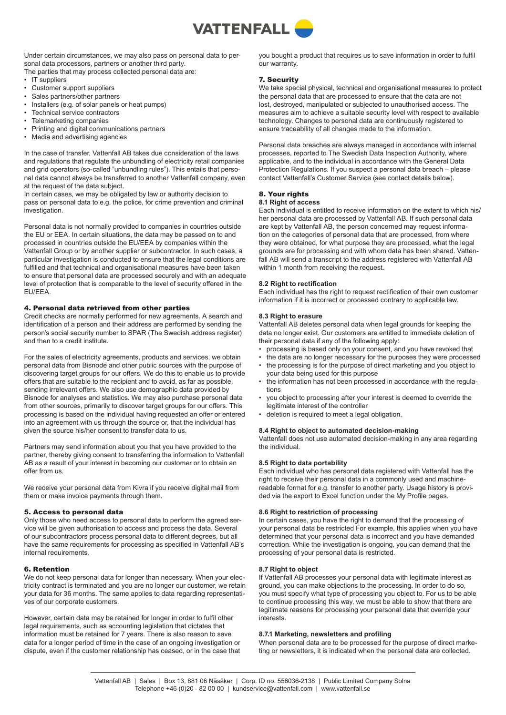

Under certain circumstances, we may also pass on personal data to personal data processors, partners or another third party. The parties that may process collected personal data are:

- IT suppliers
- Customer support suppliers
- Sales partners/other partners
- Installers (e.g. of solar panels or heat pumps)
- Technical service contractors
- Telemarketing companies<br>• Printing and digital community
- Printing and digital communications partners
- Media and advertising agencies

In the case of transfer, Vattenfall AB takes due consideration of the laws and regulations that regulate the unbundling of electricity retail companies and grid operators (so-called "unbundling rules"). This entails that personal data cannot always be transferred to another Vattenfall company, even at the request of the data subject.

In certain cases, we may be obligated by law or authority decision to pass on personal data to e.g. the police, for crime prevention and criminal investigation.

Personal data is not normally provided to companies in countries outside the EU or EEA. In certain situations, the data may be passed on to and processed in countries outside the EU/EEA by companies within the Vattenfall Group or by another supplier or subcontractor. In such cases, a particular investigation is conducted to ensure that the legal conditions are fulfilled and that technical and organisational measures have been taken to ensure that personal data are processed securely and with an adequate level of protection that is comparable to the level of security offered in the EU/EEA.

# 4. Personal data retrieved from other parties

Credit checks are normally performed for new agreements. A search and identification of a person and their address are performed by sending the person's social security number to SPAR (The Swedish address register) and then to a credit institute.

For the sales of electricity agreements, products and services, we obtain personal data from Bisnode and other public sources with the purpose of discovering target groups for our offers. We do this to enable us to provide offers that are suitable to the recipient and to avoid, as far as possible, sending irrelevant offers. We also use demographic data provided by Bisnode for analyses and statistics. We may also purchase personal data from other sources, primarily to discover target groups for our offers. This processing is based on the individual having requested an offer or entered into an agreement with us through the source or, that the individual has given the source his/her consent to transfer data to us.

Partners may send information about you that you have provided to the partner, thereby giving consent to transferring the information to Vattenfall AB as a result of your interest in becoming our customer or to obtain an offer from us.

We receive your personal data from Kivra if you receive digital mail from them or make invoice payments through them.

#### 5. Access to personal data

Only those who need access to personal data to perform the agreed service will be given authorisation to access and process the data. Several of our subcontractors process personal data to different degrees, but all have the same requirements for processing as specified in Vattenfall AB's internal requirements.

#### 6. Retention

We do not keep personal data for longer than necessary. When your electricity contract is terminated and you are no longer our customer, we retain your data for 36 months. The same applies to data regarding representatives of our corporate customers.

However, certain data may be retained for longer in order to fulfil other legal requirements, such as accounting legislation that dictates that information must be retained for 7 years. There is also reason to save data for a longer period of time in the case of an ongoing investigation or dispute, even if the customer relationship has ceased, or in the case that you bought a product that requires us to save information in order to fulfil our warranty.

#### 7. Security

We take special physical, technical and organisational measures to protect the personal data that are processed to ensure that the data are not lost, destroyed, manipulated or subjected to unauthorised access. The measures aim to achieve a suitable security level with respect to available technology. Changes to personal data are continuously registered to ensure traceability of all changes made to the information.

Personal data breaches are always managed in accordance with internal processes, reported to The Swedish Data Inspection Authority, where applicable, and to the individual in accordance with the General Data Protection Regulations. If you suspect a personal data breach – please contact Vattenfall's Customer Service (see contact details below).

# 8. Your rights

#### **8.1 Right of access**

Each individual is entitled to receive information on the extent to which his/ her personal data are processed by Vattenfall AB. If such personal data are kept by Vattenfall AB, the person concerned may request information on the categories of personal data that are processed, from where they were obtained, for what purpose they are processed, what the legal grounds are for processing and with whom data has been shared. Vattenfall AB will send a transcript to the address registered with Vattenfall AB within 1 month from receiving the request.

#### **8.2 Right to rectification**

Each individual has the right to request rectification of their own customer information if it is incorrect or processed contrary to applicable law.

#### **8.3 Right to erasure**

Vattenfall AB deletes personal data when legal grounds for keeping the data no longer exist. Our customers are entitled to immediate deletion of their personal data if any of the following apply:

- processing is based only on your consent, and you have revoked that
- the data are no longer necessary for the purposes they were processed
- the processing is for the purpose of direct marketing and you object to your data being used for this purpose
- the information has not been processed in accordance with the regulations
- you object to processing after your interest is deemed to override the legitimate interest of the controller
- deletion is required to meet a legal obligation.

# **8.4 Right to object to automated decision-making**

Vattenfall does not use automated decision-making in any area regarding the individual.

# **8.5 Right to data portability**

Each individual who has personal data registered with Vattenfall has the right to receive their personal data in a commonly used and machinereadable format for e.g. transfer to another party. Usage history is provided via the export to Excel function under the My Profile pages.

# **8.6 Right to restriction of processing**

In certain cases, you have the right to demand that the processing of your personal data be restricted For example, this applies when you have determined that your personal data is incorrect and you have demanded correction. While the investigation is ongoing, you can demand that the processing of your personal data is restricted.

# **8.7 Right to object**

If Vattenfall AB processes your personal data with legitimate interest as ground, you can make objections to the processing. In order to do so, you must specify what type of processing you object to. For us to be able to continue processing this way, we must be able to show that there are legitimate reasons for processing your personal data that override your interests.

#### **8.7.1 Marketing, newsletters and profiling**

When personal data are to be processed for the purpose of direct marketing or newsletters, it is indicated when the personal data are collected.